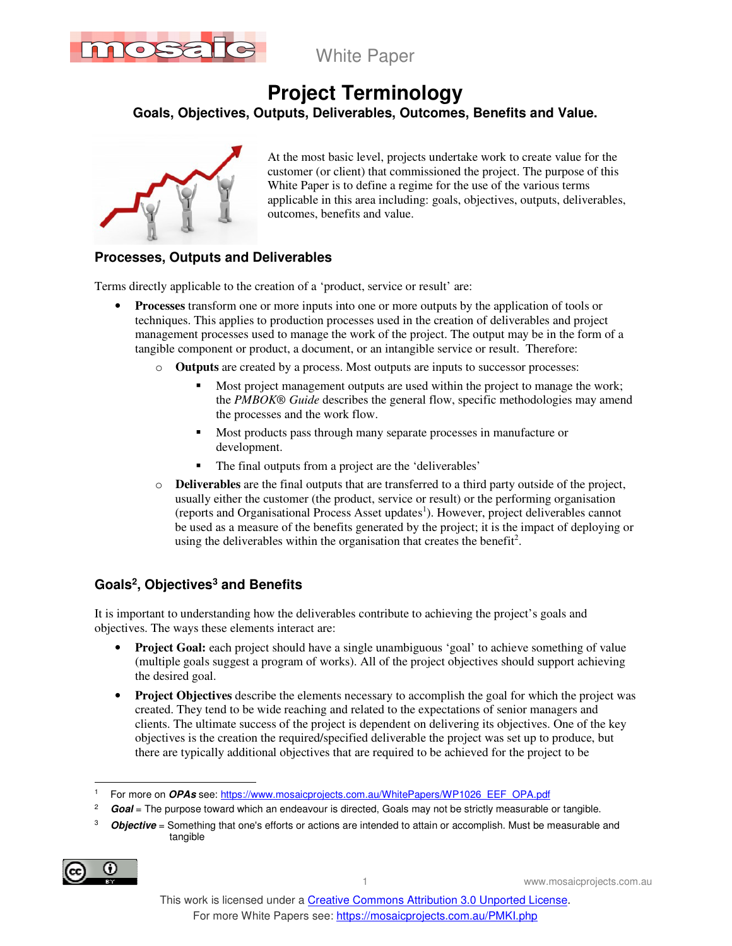

White Paper

# **Project Terminology**

**Goals, Objectives, Outputs, Deliverables, Outcomes, Benefits and Value.**



At the most basic level, projects undertake work to create value for the customer (or client) that commissioned the project. The purpose of this White Paper is to define a regime for the use of the various terms applicable in this area including: goals, objectives, outputs, deliverables, outcomes, benefits and value.

### **Processes, Outputs and Deliverables**

Terms directly applicable to the creation of a 'product, service or result' are:

- **Processes** transform one or more inputs into one or more outputs by the application of tools or techniques. This applies to production processes used in the creation of deliverables and project management processes used to manage the work of the project. The output may be in the form of a tangible component or product, a document, or an intangible service or result. Therefore:
	- o **Outputs** are created by a process. Most outputs are inputs to successor processes:
		- Most project management outputs are used within the project to manage the work; the *PMBOK® Guide* describes the general flow, specific methodologies may amend the processes and the work flow.
		- Most products pass through many separate processes in manufacture or development.
		- The final outputs from a project are the 'deliverables'
	- o **Deliverables** are the final outputs that are transferred to a third party outside of the project, usually either the customer (the product, service or result) or the performing organisation (reports and Organisational Process Asset updates<sup>1</sup>). However, project deliverables cannot be used as a measure of the benefits generated by the project; it is the impact of deploying or using the deliverables within the organisation that creates the benefit<sup>2</sup>.

### **Goals<sup>2</sup> , Objectives<sup>3</sup> and Benefits**

It is important to understanding how the deliverables contribute to achieving the project's goals and objectives. The ways these elements interact are:

- **Project Goal:** each project should have a single unambiguous 'goal' to achieve something of value (multiple goals suggest a program of works). All of the project objectives should support achieving the desired goal.
- **Project Objectives** describe the elements necessary to accomplish the goal for which the project was created. They tend to be wide reaching and related to the expectations of senior managers and clients. The ultimate success of the project is dependent on delivering its objectives. One of the key objectives is the creation the required/specified deliverable the project was set up to produce, but there are typically additional objectives that are required to be achieved for the project to be

<sup>3</sup> **Objective** = Something that one's efforts or actions are intended to attain or accomplish. Must be measurable and tangible



1 www.mosaicprojects.com.au

 $\ddot{\phantom{a}}$ 1 For more on **OPAs** see: https://www.mosaicprojects.com.au/WhitePapers/WP1026\_EEF\_OPA.pdf

<sup>2</sup> **Goal** = The purpose toward which an endeavour is directed, Goals may not be strictly measurable or tangible.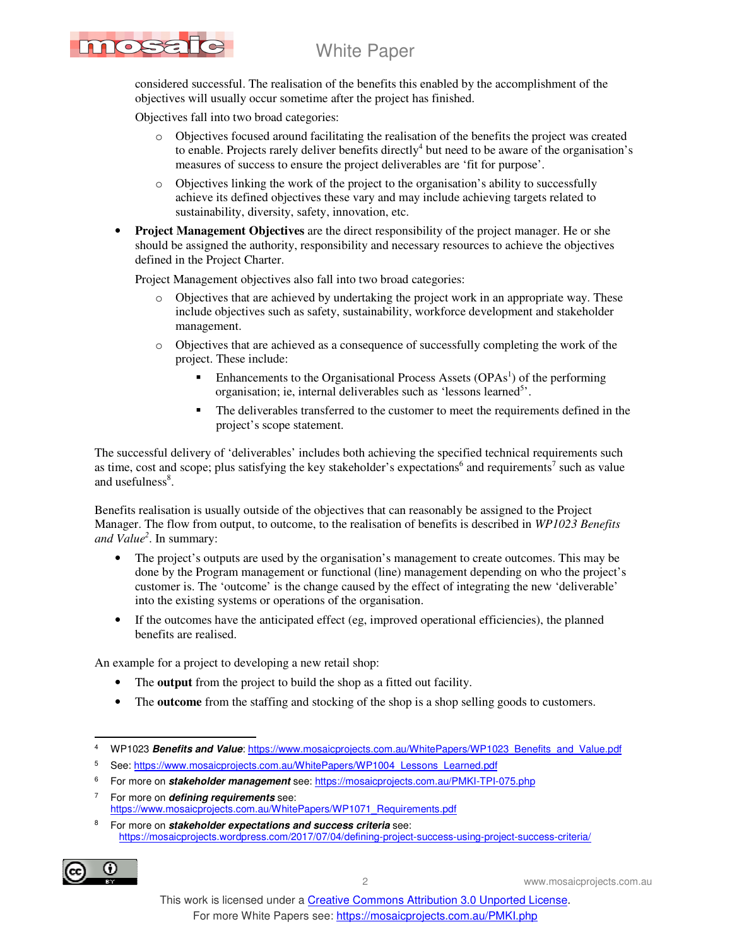## White Paper

considered successful. The realisation of the benefits this enabled by the accomplishment of the objectives will usually occur sometime after the project has finished.

Objectives fall into two broad categories:

MOSE

- o Objectives focused around facilitating the realisation of the benefits the project was created to enable. Projects rarely deliver benefits directly<sup>4</sup> but need to be aware of the organisation's measures of success to ensure the project deliverables are 'fit for purpose'.
- o Objectives linking the work of the project to the organisation's ability to successfully achieve its defined objectives these vary and may include achieving targets related to sustainability, diversity, safety, innovation, etc.
- **Project Management Objectives** are the direct responsibility of the project manager. He or she should be assigned the authority, responsibility and necessary resources to achieve the objectives defined in the Project Charter.

Project Management objectives also fall into two broad categories:

- o Objectives that are achieved by undertaking the project work in an appropriate way. These include objectives such as safety, sustainability, workforce development and stakeholder management.
- o Objectives that are achieved as a consequence of successfully completing the work of the project. These include:
	- $\blacksquare$  Enhancements to the Organisational Process Assets (OPAs<sup>1</sup>) of the performing organisation; ie, internal deliverables such as 'lessons learned<sup>5</sup>'.
	- The deliverables transferred to the customer to meet the requirements defined in the project's scope statement.

The successful delivery of 'deliverables' includes both achieving the specified technical requirements such as time, cost and scope; plus satisfying the key stakeholder's expectations<sup>6</sup> and requirements<sup>7</sup> such as value and usefulness<sup>8</sup>.

Benefits realisation is usually outside of the objectives that can reasonably be assigned to the Project Manager. The flow from output, to outcome, to the realisation of benefits is described in *WP1023 Benefits and Value<sup>2</sup>* . In summary:

- The project's outputs are used by the organisation's management to create outcomes. This may be done by the Program management or functional (line) management depending on who the project's customer is. The 'outcome' is the change caused by the effect of integrating the new 'deliverable' into the existing systems or operations of the organisation.
- If the outcomes have the anticipated effect (eg, improved operational efficiencies), the planned benefits are realised.

An example for a project to developing a new retail shop:

- The **output** from the project to build the shop as a fitted out facility.
- The **outcome** from the staffing and stocking of the shop is a shop selling goods to customers.

<sup>8</sup> For more on **stakeholder expectations and success criteria** see: https://mosaicprojects.wordpress.com/2017/07/04/defining-project-success-using-project-success-criteria/



2 www.mosaicprojects.com.au

 4 WP1023 **Benefits and Value**: https://www.mosaicprojects.com.au/WhitePapers/WP1023\_Benefits\_and\_Value.pdf

<sup>5</sup> See: https://www.mosaicprojects.com.au/WhitePapers/WP1004\_Lessons\_Learned.pdf

<sup>&</sup>lt;sup>6</sup> For more on *stakeholder management* see: https://mosaicprojects.com.au/PMKI-TPI-075.php

<sup>7</sup> For more on **defining requirements** see: https://www.mosaicprojects.com.au/WhitePapers/WP1071\_Requirements.pdf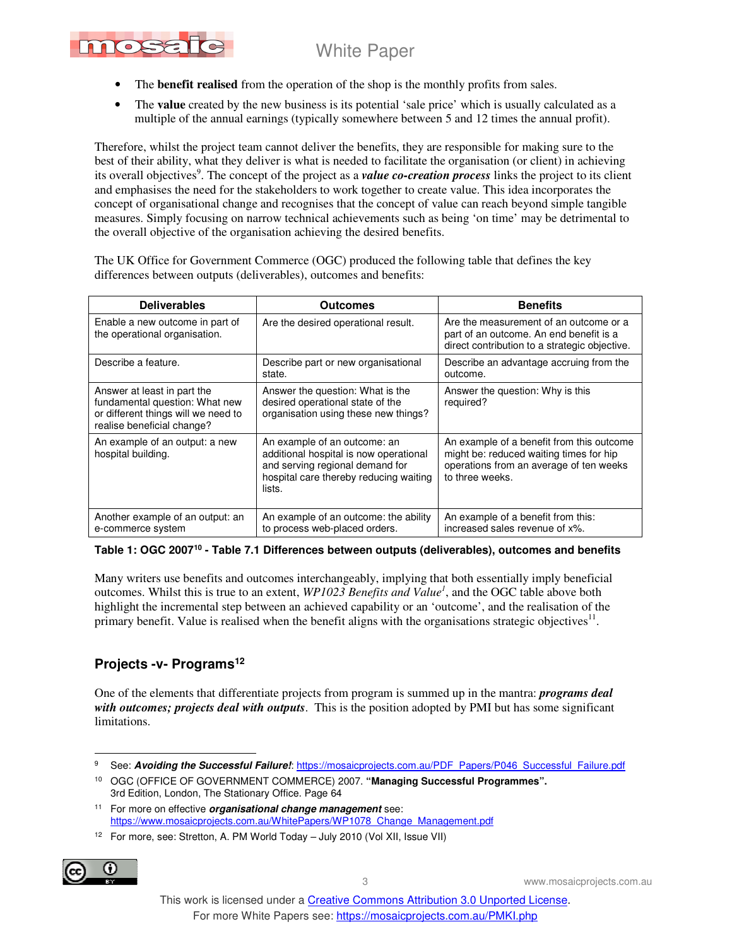## White Paper



- The **benefit realised** from the operation of the shop is the monthly profits from sales.
- The **value** created by the new business is its potential 'sale price' which is usually calculated as a multiple of the annual earnings (typically somewhere between 5 and 12 times the annual profit).

Therefore, whilst the project team cannot deliver the benefits, they are responsible for making sure to the best of their ability, what they deliver is what is needed to facilitate the organisation (or client) in achieving its overall objectives<sup>9</sup>. The concept of the project as a *value co-creation process* links the project to its client and emphasises the need for the stakeholders to work together to create value. This idea incorporates the concept of organisational change and recognises that the concept of value can reach beyond simple tangible measures. Simply focusing on narrow technical achievements such as being 'on time' may be detrimental to the overall objective of the organisation achieving the desired benefits.

The UK Office for Government Commerce (OGC) produced the following table that defines the key differences between outputs (deliverables), outcomes and benefits:

| <b>Deliverables</b>                                                                                                                | Outcomes                                                                                                                                                      | <b>Benefits</b>                                                                                                                                    |
|------------------------------------------------------------------------------------------------------------------------------------|---------------------------------------------------------------------------------------------------------------------------------------------------------------|----------------------------------------------------------------------------------------------------------------------------------------------------|
| Enable a new outcome in part of<br>the operational organisation.                                                                   | Are the desired operational result.                                                                                                                           | Are the measurement of an outcome or a<br>part of an outcome. An end benefit is a<br>direct contribution to a strategic objective.                 |
| Describe a feature.                                                                                                                | Describe part or new organisational<br>state.                                                                                                                 | Describe an advantage accruing from the<br>outcome.                                                                                                |
| Answer at least in part the<br>fundamental question: What new<br>or different things will we need to<br>realise beneficial change? | Answer the question: What is the<br>desired operational state of the<br>organisation using these new things?                                                  | Answer the question: Why is this<br>required?                                                                                                      |
| An example of an output: a new<br>hospital building.                                                                               | An example of an outcome: an<br>additional hospital is now operational<br>and serving regional demand for<br>hospital care thereby reducing waiting<br>lists. | An example of a benefit from this outcome<br>might be: reduced waiting times for hip<br>operations from an average of ten weeks<br>to three weeks. |
| Another example of an output: an<br>e-commerce system                                                                              | An example of an outcome: the ability<br>to process web-placed orders.                                                                                        | An example of a benefit from this:<br>increased sales revenue of x%.                                                                               |

**Table 1: OGC 2007<sup>10</sup> - Table 7.1 Differences between outputs (deliverables), outcomes and benefits** 

Many writers use benefits and outcomes interchangeably, implying that both essentially imply beneficial outcomes. Whilst this is true to an extent, *WP1023 Benefits and Value<sup>1</sup>* , and the OGC table above both highlight the incremental step between an achieved capability or an 'outcome', and the realisation of the primary benefit. Value is realised when the benefit aligns with the organisations strategic objectives $^{11}$ .

## **Projects -v- Programs<sup>12</sup>**

One of the elements that differentiate projects from program is summed up in the mantra: *programs deal with outcomes; projects deal with outputs*. This is the position adopted by PMI but has some significant limitations.

<sup>&</sup>lt;sup>12</sup> For more, see: Stretton, A. PM World Today – July 2010 (Vol XII, Issue VII)



3 www.mosaicprojects.com.au

 $\ddot{\phantom{a}}$ 9 See: **Avoiding the Successful Failure!**: https://mosaicprojects.com.au/PDF\_Papers/P046\_Successful\_Failure.pdf

<sup>10</sup> OGC (OFFICE OF GOVERNMENT COMMERCE) 2007. **"Managing Successful Programmes".** 3rd Edition, London, The Stationary Office. Page 64

<sup>11</sup> For more on effective **organisational change management** see: https://www.mosaicprojects.com.au/WhitePapers/WP1078\_Change\_Management.pdf